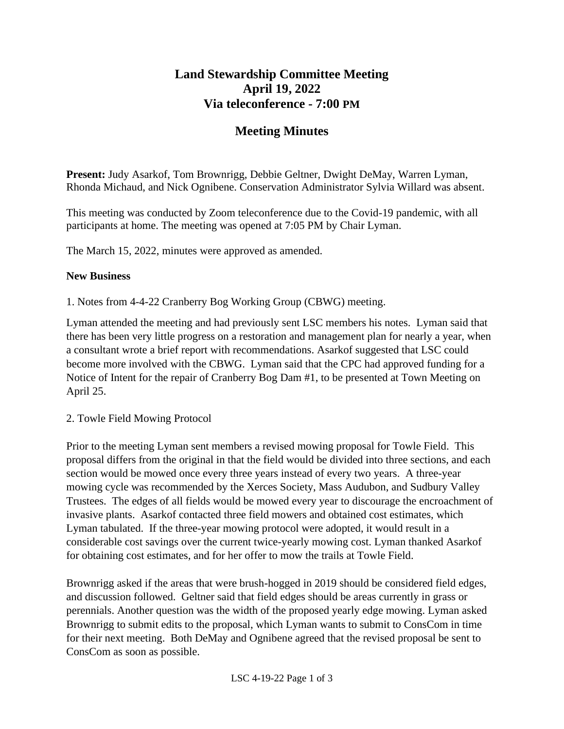## **Land Stewardship Committee Meeting April 19, 2022 Via teleconference - 7:00 PM**

# **Meeting Minutes**

**Present:** Judy Asarkof, Tom Brownrigg, Debbie Geltner, Dwight DeMay, Warren Lyman, Rhonda Michaud, and Nick Ognibene. Conservation Administrator Sylvia Willard was absent.

This meeting was conducted by Zoom teleconference due to the Covid-19 pandemic, with all participants at home. The meeting was opened at 7:05 PM by Chair Lyman.

The March 15, 2022, minutes were approved as amended.

### **New Business**

1. Notes from 4-4-22 Cranberry Bog Working Group (CBWG) meeting.

Lyman attended the meeting and had previously sent LSC members his notes. Lyman said that there has been very little progress on a restoration and management plan for nearly a year, when a consultant wrote a brief report with recommendations. Asarkof suggested that LSC could become more involved with the CBWG. Lyman said that the CPC had approved funding for a Notice of Intent for the repair of Cranberry Bog Dam #1, to be presented at Town Meeting on April 25.

2. Towle Field Mowing Protocol

Prior to the meeting Lyman sent members a revised mowing proposal for Towle Field. This proposal differs from the original in that the field would be divided into three sections, and each section would be mowed once every three years instead of every two years. A three-year mowing cycle was recommended by the Xerces Society, Mass Audubon, and Sudbury Valley Trustees. The edges of all fields would be mowed every year to discourage the encroachment of invasive plants. Asarkof contacted three field mowers and obtained cost estimates, which Lyman tabulated. If the three-year mowing protocol were adopted, it would result in a considerable cost savings over the current twice-yearly mowing cost. Lyman thanked Asarkof for obtaining cost estimates, and for her offer to mow the trails at Towle Field.

Brownrigg asked if the areas that were brush-hogged in 2019 should be considered field edges, and discussion followed. Geltner said that field edges should be areas currently in grass or perennials. Another question was the width of the proposed yearly edge mowing. Lyman asked Brownrigg to submit edits to the proposal, which Lyman wants to submit to ConsCom in time for their next meeting. Both DeMay and Ognibene agreed that the revised proposal be sent to ConsCom as soon as possible.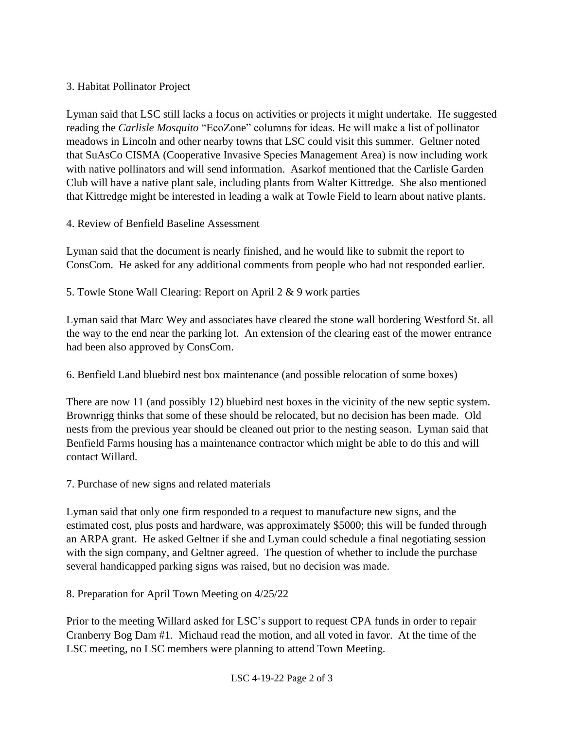## 3. Habitat Pollinator Project

Lyman said that LSC still lacks a focus on activities or projects it might undertake. He suggested reading the *Carlisle Mosquito* "EcoZone" columns for ideas. He will make a list of pollinator meadows in Lincoln and other nearby towns that LSC could visit this summer. Geltner noted that SuAsCo CISMA (Cooperative Invasive Species Management Area) is now including work with native pollinators and will send information. Asarkof mentioned that the Carlisle Garden Club will have a native plant sale, including plants from Walter Kittredge. She also mentioned that Kittredge might be interested in leading a walk at Towle Field to learn about native plants.

4. Review of Benfield Baseline Assessment

Lyman said that the document is nearly finished, and he would like to submit the report to ConsCom. He asked for any additional comments from people who had not responded earlier.

## 5. Towle Stone Wall Clearing: Report on April 2 & 9 work parties

Lyman said that Marc Wey and associates have cleared the stone wall bordering Westford St. all the way to the end near the parking lot. An extension of the clearing east of the mower entrance had been also approved by ConsCom.

6. Benfield Land bluebird nest box maintenance (and possible relocation of some boxes)

There are now 11 (and possibly 12) bluebird nest boxes in the vicinity of the new septic system. Brownrigg thinks that some of these should be relocated, but no decision has been made. Old nests from the previous year should be cleaned out prior to the nesting season. Lyman said that Benfield Farms housing has a maintenance contractor which might be able to do this and will contact Willard.

7. Purchase of new signs and related materials

Lyman said that only one firm responded to a request to manufacture new signs, and the estimated cost, plus posts and hardware, was approximately \$5000; this will be funded through an ARPA grant. He asked Geltner if she and Lyman could schedule a final negotiating session with the sign company, and Geltner agreed. The question of whether to include the purchase several handicapped parking signs was raised, but no decision was made.

8. Preparation for April Town Meeting on 4/25/22

Prior to the meeting Willard asked for LSC's support to request CPA funds in order to repair Cranberry Bog Dam #1. Michaud read the motion, and all voted in favor. At the time of the LSC meeting, no LSC members were planning to attend Town Meeting.